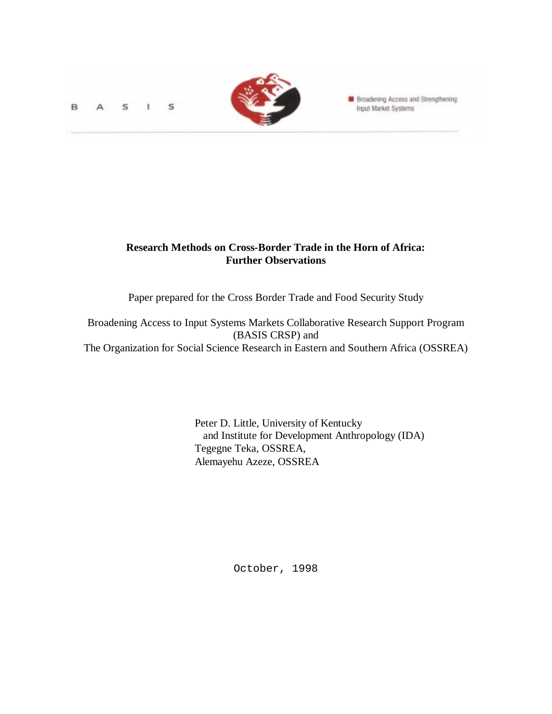S B s



**Broadening Access and Strengthening** Input Market Systems

# **Research Methods on Cross-Border Trade in the Horn of Africa: Further Observations**

Paper prepared for the Cross Border Trade and Food Security Study

Broadening Access to Input Systems Markets Collaborative Research Support Program (BASIS CRSP) and The Organization for Social Science Research in Eastern and Southern Africa (OSSREA)

> Peter D. Little, University of Kentucky and Institute for Development Anthropology (IDA) Tegegne Teka, OSSREA, Alemayehu Azeze, OSSREA

> > October, 1998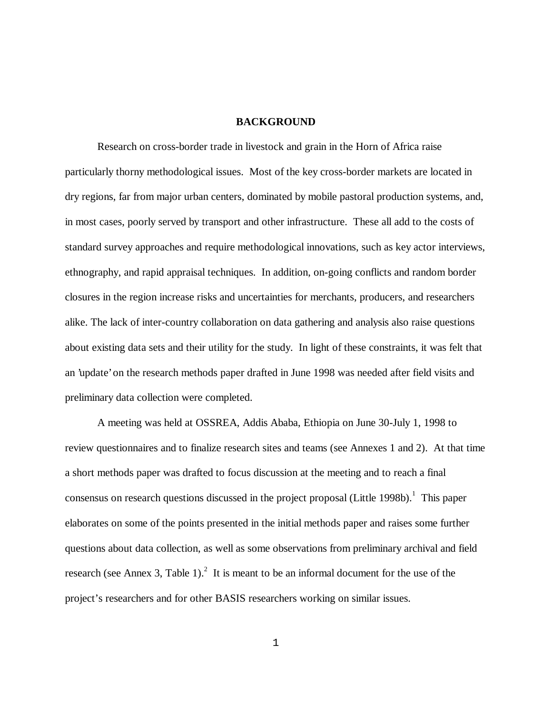#### **BACKGROUND**

Research on cross-border trade in livestock and grain in the Horn of Africa raise particularly thorny methodological issues. Most of the key cross-border markets are located in dry regions, far from major urban centers, dominated by mobile pastoral production systems, and, in most cases, poorly served by transport and other infrastructure. These all add to the costs of standard survey approaches and require methodological innovations, such as key actor interviews, ethnography, and rapid appraisal techniques. In addition, on-going conflicts and random border closures in the region increase risks and uncertainties for merchants, producers, and researchers alike. The lack of inter-country collaboration on data gathering and analysis also raise questions about existing data sets and their utility for the study. In light of these constraints, it was felt that an 'update' on the research methods paper drafted in June 1998 was needed after field visits and preliminary data collection were completed.

A meeting was held at OSSREA, Addis Ababa, Ethiopia on June 30-July 1, 1998 to review questionnaires and to finalize research sites and teams (see Annexes 1 and 2). At that time a short methods paper was drafted to focus discussion at the meeting and to reach a final consensus on research questions discussed in the project proposal (Little 1998b).<sup>1</sup> This paper elaborates on some of the points presented in the initial methods paper and raises some further questions about data collection, as well as some observations from preliminary archival and field research (see Annex 3, Table 1).<sup>2</sup> It is meant to be an informal document for the use of the project's researchers and for other BASIS researchers working on similar issues.

1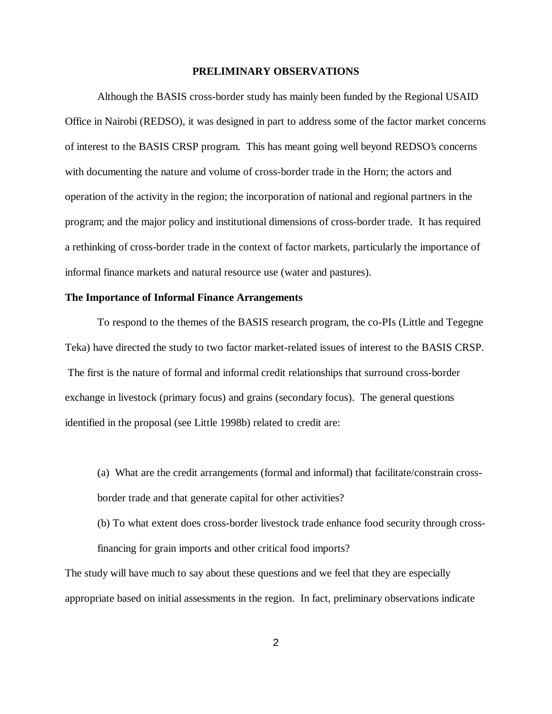#### **PRELIMINARY OBSERVATIONS**

Although the BASIS cross-border study has mainly been funded by the Regional USAID Office in Nairobi (REDSO), it was designed in part to address some of the factor market concerns of interest to the BASIS CRSP program. This has meant going well beyond REDSO's concerns with documenting the nature and volume of cross-border trade in the Horn; the actors and operation of the activity in the region; the incorporation of national and regional partners in the program; and the major policy and institutional dimensions of cross-border trade. It has required a rethinking of cross-border trade in the context of factor markets, particularly the importance of informal finance markets and natural resource use (water and pastures).

## **The Importance of Informal Finance Arrangements**

To respond to the themes of the BASIS research program, the co-PIs (Little and Tegegne Teka) have directed the study to two factor market-related issues of interest to the BASIS CRSP. The first is the nature of formal and informal credit relationships that surround cross-border exchange in livestock (primary focus) and grains (secondary focus). The general questions identified in the proposal (see Little 1998b) related to credit are:

(a) What are the credit arrangements (formal and informal) that facilitate/constrain crossborder trade and that generate capital for other activities?

(b) To what extent does cross-border livestock trade enhance food security through crossfinancing for grain imports and other critical food imports?

The study will have much to say about these questions and we feel that they are especially appropriate based on initial assessments in the region. In fact, preliminary observations indicate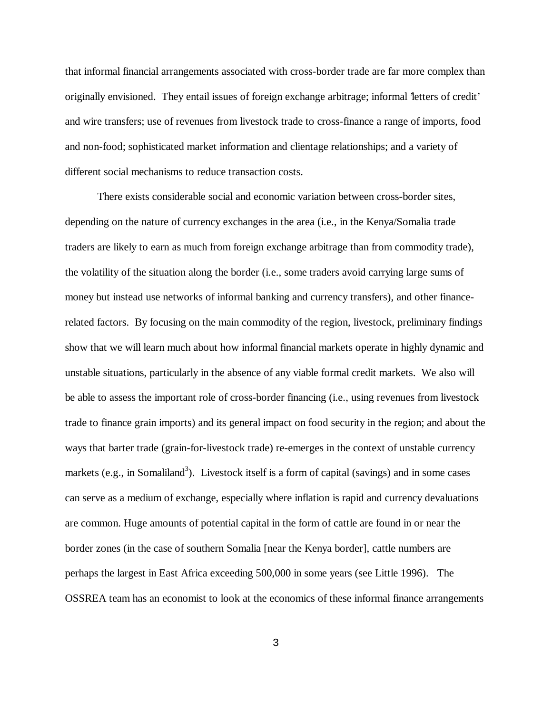that informal financial arrangements associated with cross-border trade are far more complex than originally envisioned. They entail issues of foreign exchange arbitrage; informal 'letters of credit' and wire transfers; use of revenues from livestock trade to cross-finance a range of imports, food and non-food; sophisticated market information and clientage relationships; and a variety of different social mechanisms to reduce transaction costs.

There exists considerable social and economic variation between cross-border sites, depending on the nature of currency exchanges in the area (i.e., in the Kenya/Somalia trade traders are likely to earn as much from foreign exchange arbitrage than from commodity trade), the volatility of the situation along the border (i.e., some traders avoid carrying large sums of money but instead use networks of informal banking and currency transfers), and other financerelated factors. By focusing on the main commodity of the region, livestock, preliminary findings show that we will learn much about how informal financial markets operate in highly dynamic and unstable situations, particularly in the absence of any viable formal credit markets. We also will be able to assess the important role of cross-border financing (i.e., using revenues from livestock trade to finance grain imports) and its general impact on food security in the region; and about the ways that barter trade (grain-for-livestock trade) re-emerges in the context of unstable currency markets (e.g., in Somaliland<sup>3</sup>). Livestock itself is a form of capital (savings) and in some cases can serve as a medium of exchange, especially where inflation is rapid and currency devaluations are common. Huge amounts of potential capital in the form of cattle are found in or near the border zones (in the case of southern Somalia [near the Kenya border], cattle numbers are perhaps the largest in East Africa exceeding 500,000 in some years (see Little 1996). The OSSREA team has an economist to look at the economics of these informal finance arrangements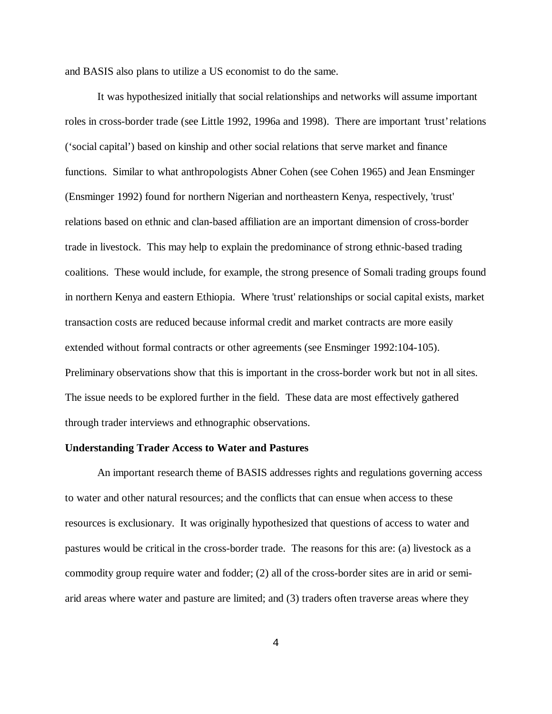and BASIS also plans to utilize a US economist to do the same.

It was hypothesized initially that social relationships and networks will assume important roles in cross-border trade (see Little 1992, 1996a and 1998). There are important 'trust' relations ('social capital') based on kinship and other social relations that serve market and finance functions. Similar to what anthropologists Abner Cohen (see Cohen 1965) and Jean Ensminger (Ensminger 1992) found for northern Nigerian and northeastern Kenya, respectively, 'trust' relations based on ethnic and clan-based affiliation are an important dimension of cross-border trade in livestock. This may help to explain the predominance of strong ethnic-based trading coalitions. These would include, for example, the strong presence of Somali trading groups found in northern Kenya and eastern Ethiopia. Where 'trust' relationships or social capital exists, market transaction costs are reduced because informal credit and market contracts are more easily extended without formal contracts or other agreements (see Ensminger 1992:104-105). Preliminary observations show that this is important in the cross-border work but not in all sites. The issue needs to be explored further in the field. These data are most effectively gathered through trader interviews and ethnographic observations.

#### **Understanding Trader Access to Water and Pastures**

An important research theme of BASIS addresses rights and regulations governing access to water and other natural resources; and the conflicts that can ensue when access to these resources is exclusionary. It was originally hypothesized that questions of access to water and pastures would be critical in the cross-border trade. The reasons for this are: (a) livestock as a commodity group require water and fodder; (2) all of the cross-border sites are in arid or semiarid areas where water and pasture are limited; and (3) traders often traverse areas where they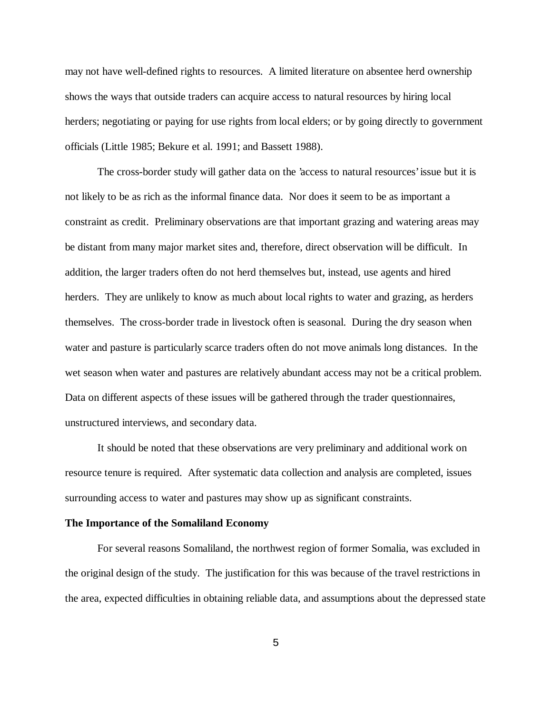may not have well-defined rights to resources. A limited literature on absentee herd ownership shows the ways that outside traders can acquire access to natural resources by hiring local herders; negotiating or paying for use rights from local elders; or by going directly to government officials (Little 1985; Bekure et al. 1991; and Bassett 1988).

The cross-border study will gather data on the 'access to natural resources' issue but it is not likely to be as rich as the informal finance data. Nor does it seem to be as important a constraint as credit. Preliminary observations are that important grazing and watering areas may be distant from many major market sites and, therefore, direct observation will be difficult. In addition, the larger traders often do not herd themselves but, instead, use agents and hired herders. They are unlikely to know as much about local rights to water and grazing, as herders themselves. The cross-border trade in livestock often is seasonal. During the dry season when water and pasture is particularly scarce traders often do not move animals long distances. In the wet season when water and pastures are relatively abundant access may not be a critical problem. Data on different aspects of these issues will be gathered through the trader questionnaires, unstructured interviews, and secondary data.

It should be noted that these observations are very preliminary and additional work on resource tenure is required. After systematic data collection and analysis are completed, issues surrounding access to water and pastures may show up as significant constraints.

#### **The Importance of the Somaliland Economy**

For several reasons Somaliland, the northwest region of former Somalia, was excluded in the original design of the study. The justification for this was because of the travel restrictions in the area, expected difficulties in obtaining reliable data, and assumptions about the depressed state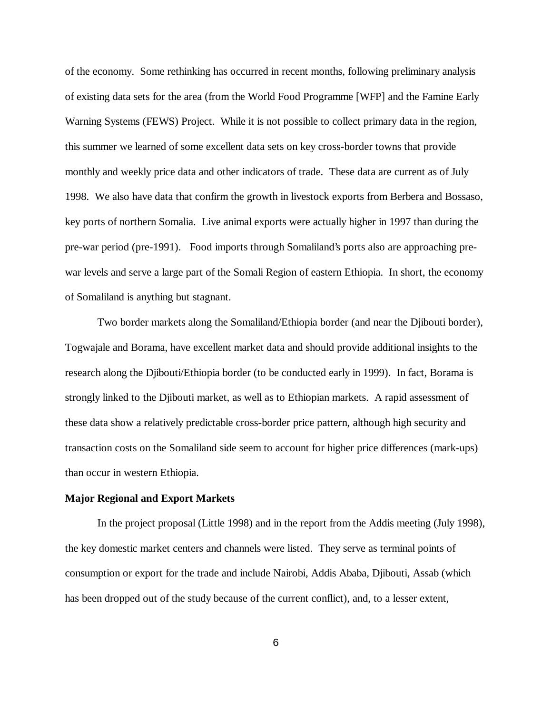of the economy. Some rethinking has occurred in recent months, following preliminary analysis of existing data sets for the area (from the World Food Programme [WFP] and the Famine Early Warning Systems (FEWS) Project. While it is not possible to collect primary data in the region, this summer we learned of some excellent data sets on key cross-border towns that provide monthly and weekly price data and other indicators of trade. These data are current as of July 1998. We also have data that confirm the growth in livestock exports from Berbera and Bossaso, key ports of northern Somalia. Live animal exports were actually higher in 1997 than during the pre-war period (pre-1991). Food imports through Somaliland's ports also are approaching prewar levels and serve a large part of the Somali Region of eastern Ethiopia. In short, the economy of Somaliland is anything but stagnant.

Two border markets along the Somaliland/Ethiopia border (and near the Djibouti border), Togwajale and Borama, have excellent market data and should provide additional insights to the research along the Djibouti/Ethiopia border (to be conducted early in 1999). In fact, Borama is strongly linked to the Djibouti market, as well as to Ethiopian markets. A rapid assessment of these data show a relatively predictable cross-border price pattern, although high security and transaction costs on the Somaliland side seem to account for higher price differences (mark-ups) than occur in western Ethiopia.

#### **Major Regional and Export Markets**

In the project proposal (Little 1998) and in the report from the Addis meeting (July 1998), the key domestic market centers and channels were listed. They serve as terminal points of consumption or export for the trade and include Nairobi, Addis Ababa, Djibouti, Assab (which has been dropped out of the study because of the current conflict), and, to a lesser extent,

6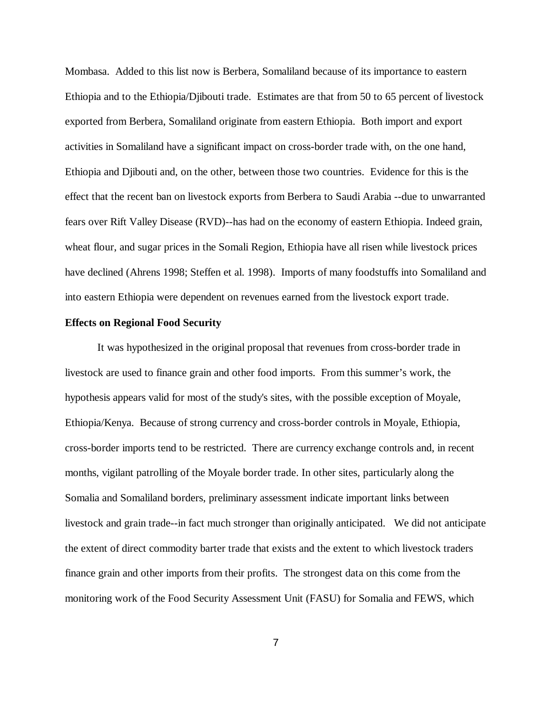Mombasa. Added to this list now is Berbera, Somaliland because of its importance to eastern Ethiopia and to the Ethiopia/Djibouti trade. Estimates are that from 50 to 65 percent of livestock exported from Berbera, Somaliland originate from eastern Ethiopia. Both import and export activities in Somaliland have a significant impact on cross-border trade with, on the one hand, Ethiopia and Djibouti and, on the other, between those two countries. Evidence for this is the effect that the recent ban on livestock exports from Berbera to Saudi Arabia --due to unwarranted fears over Rift Valley Disease (RVD)--has had on the economy of eastern Ethiopia. Indeed grain, wheat flour, and sugar prices in the Somali Region, Ethiopia have all risen while livestock prices have declined (Ahrens 1998; Steffen et al. 1998). Imports of many foodstuffs into Somaliland and into eastern Ethiopia were dependent on revenues earned from the livestock export trade.

### **Effects on Regional Food Security**

It was hypothesized in the original proposal that revenues from cross-border trade in livestock are used to finance grain and other food imports. From this summer's work, the hypothesis appears valid for most of the study's sites, with the possible exception of Moyale, Ethiopia/Kenya. Because of strong currency and cross-border controls in Moyale, Ethiopia, cross-border imports tend to be restricted. There are currency exchange controls and, in recent months, vigilant patrolling of the Moyale border trade. In other sites, particularly along the Somalia and Somaliland borders, preliminary assessment indicate important links between livestock and grain trade--in fact much stronger than originally anticipated. We did not anticipate the extent of direct commodity barter trade that exists and the extent to which livestock traders finance grain and other imports from their profits. The strongest data on this come from the monitoring work of the Food Security Assessment Unit (FASU) for Somalia and FEWS, which

7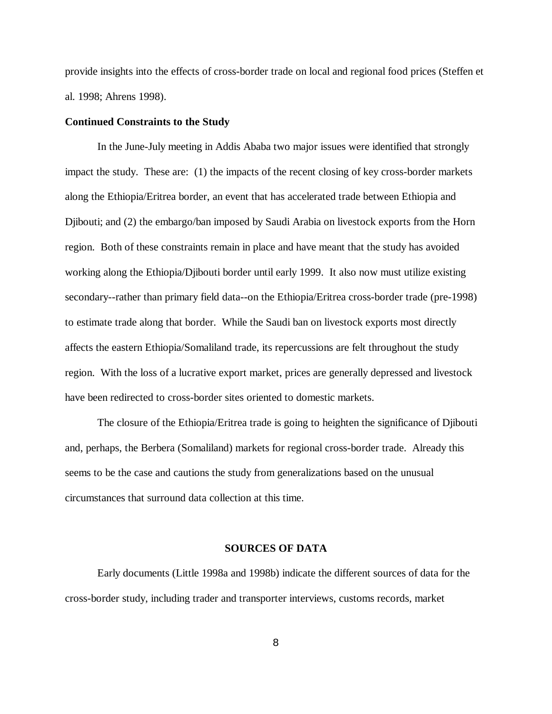provide insights into the effects of cross-border trade on local and regional food prices (Steffen et al. 1998; Ahrens 1998).

### **Continued Constraints to the Study**

In the June-July meeting in Addis Ababa two major issues were identified that strongly impact the study. These are: (1) the impacts of the recent closing of key cross-border markets along the Ethiopia/Eritrea border, an event that has accelerated trade between Ethiopia and Djibouti; and (2) the embargo/ban imposed by Saudi Arabia on livestock exports from the Horn region. Both of these constraints remain in place and have meant that the study has avoided working along the Ethiopia/Djibouti border until early 1999. It also now must utilize existing secondary--rather than primary field data--on the Ethiopia/Eritrea cross-border trade (pre-1998) to estimate trade along that border. While the Saudi ban on livestock exports most directly affects the eastern Ethiopia/Somaliland trade, its repercussions are felt throughout the study region. With the loss of a lucrative export market, prices are generally depressed and livestock have been redirected to cross-border sites oriented to domestic markets.

The closure of the Ethiopia/Eritrea trade is going to heighten the significance of Djibouti and, perhaps, the Berbera (Somaliland) markets for regional cross-border trade. Already this seems to be the case and cautions the study from generalizations based on the unusual circumstances that surround data collection at this time.

### **SOURCES OF DATA**

Early documents (Little 1998a and 1998b) indicate the different sources of data for the cross-border study, including trader and transporter interviews, customs records, market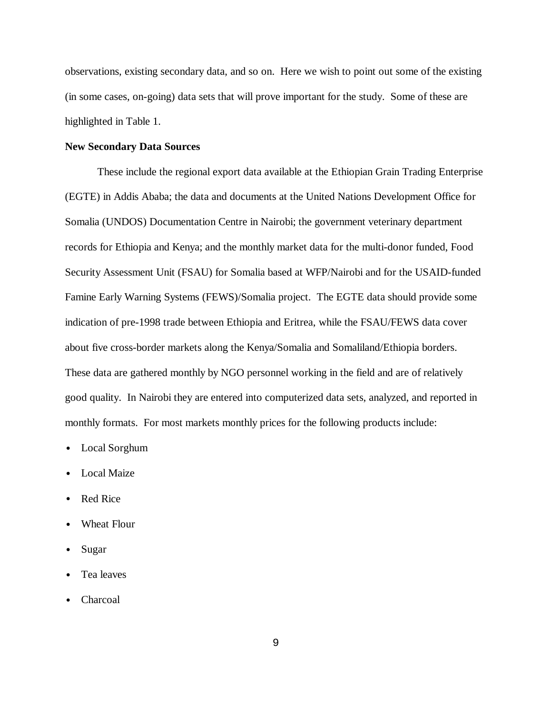observations, existing secondary data, and so on. Here we wish to point out some of the existing (in some cases, on-going) data sets that will prove important for the study. Some of these are highlighted in Table 1.

### **New Secondary Data Sources**

These include the regional export data available at the Ethiopian Grain Trading Enterprise (EGTE) in Addis Ababa; the data and documents at the United Nations Development Office for Somalia (UNDOS) Documentation Centre in Nairobi; the government veterinary department records for Ethiopia and Kenya; and the monthly market data for the multi-donor funded, Food Security Assessment Unit (FSAU) for Somalia based at WFP/Nairobi and for the USAID-funded Famine Early Warning Systems (FEWS)/Somalia project. The EGTE data should provide some indication of pre-1998 trade between Ethiopia and Eritrea, while the FSAU/FEWS data cover about five cross-border markets along the Kenya/Somalia and Somaliland/Ethiopia borders. These data are gathered monthly by NGO personnel working in the field and are of relatively good quality. In Nairobi they are entered into computerized data sets, analyzed, and reported in monthly formats. For most markets monthly prices for the following products include:

- Local Sorghum
- **Local Maize**
- Red Rice
- Wheat Flour
- Sugar
- Tea leaves
- Charcoal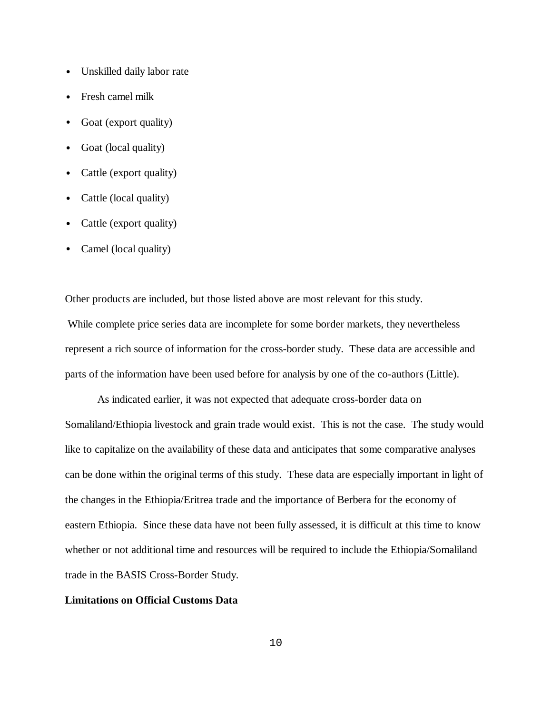- Unskilled daily labor rate
- Fresh camel milk
- Goat (export quality)
- Goat (local quality)
- Cattle (export quality)
- Cattle (local quality)
- Cattle (export quality)
- Camel (local quality)

Other products are included, but those listed above are most relevant for this study. While complete price series data are incomplete for some border markets, they nevertheless represent a rich source of information for the cross-border study. These data are accessible and parts of the information have been used before for analysis by one of the co-authors (Little).

As indicated earlier, it was not expected that adequate cross-border data on Somaliland/Ethiopia livestock and grain trade would exist. This is not the case. The study would like to capitalize on the availability of these data and anticipates that some comparative analyses can be done within the original terms of this study. These data are especially important in light of the changes in the Ethiopia/Eritrea trade and the importance of Berbera for the economy of eastern Ethiopia. Since these data have not been fully assessed, it is difficult at this time to know whether or not additional time and resources will be required to include the Ethiopia/Somaliland trade in the BASIS Cross-Border Study.

### **Limitations on Official Customs Data**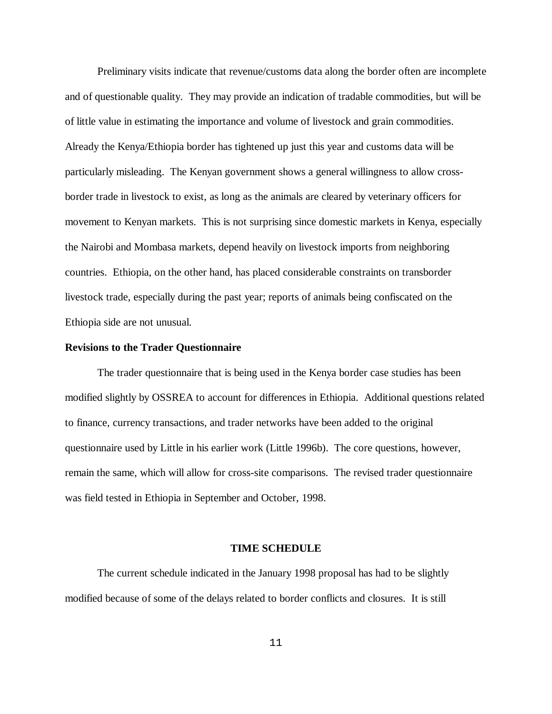Preliminary visits indicate that revenue/customs data along the border often are incomplete and of questionable quality. They may provide an indication of tradable commodities, but will be of little value in estimating the importance and volume of livestock and grain commodities. Already the Kenya/Ethiopia border has tightened up just this year and customs data will be particularly misleading. The Kenyan government shows a general willingness to allow crossborder trade in livestock to exist, as long as the animals are cleared by veterinary officers for movement to Kenyan markets. This is not surprising since domestic markets in Kenya, especially the Nairobi and Mombasa markets, depend heavily on livestock imports from neighboring countries. Ethiopia, on the other hand, has placed considerable constraints on transborder livestock trade, especially during the past year; reports of animals being confiscated on the Ethiopia side are not unusual.

### **Revisions to the Trader Questionnaire**

The trader questionnaire that is being used in the Kenya border case studies has been modified slightly by OSSREA to account for differences in Ethiopia. Additional questions related to finance, currency transactions, and trader networks have been added to the original questionnaire used by Little in his earlier work (Little 1996b). The core questions, however, remain the same, which will allow for cross-site comparisons. The revised trader questionnaire was field tested in Ethiopia in September and October, 1998.

#### **TIME SCHEDULE**

The current schedule indicated in the January 1998 proposal has had to be slightly modified because of some of the delays related to border conflicts and closures. It is still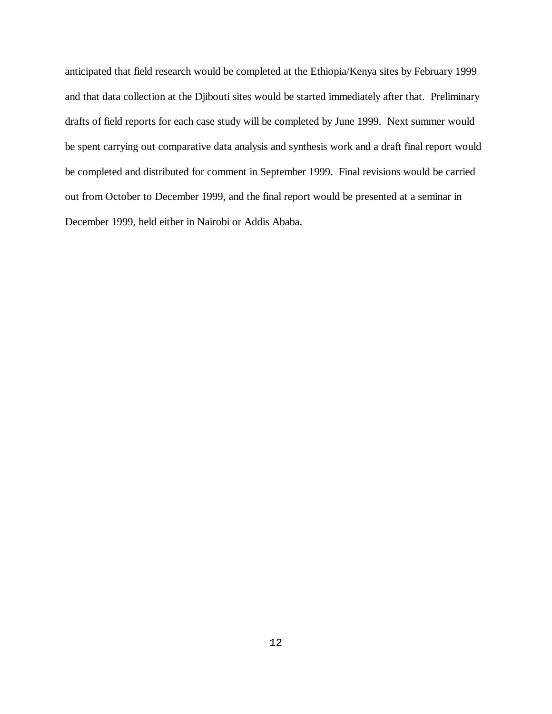anticipated that field research would be completed at the Ethiopia/Kenya sites by February 1999 and that data collection at the Djibouti sites would be started immediately after that. Preliminary drafts of field reports for each case study will be completed by June 1999. Next summer would be spent carrying out comparative data analysis and synthesis work and a draft final report would be completed and distributed for comment in September 1999. Final revisions would be carried out from October to December 1999, and the final report would be presented at a seminar in December 1999, held either in Nairobi or Addis Ababa.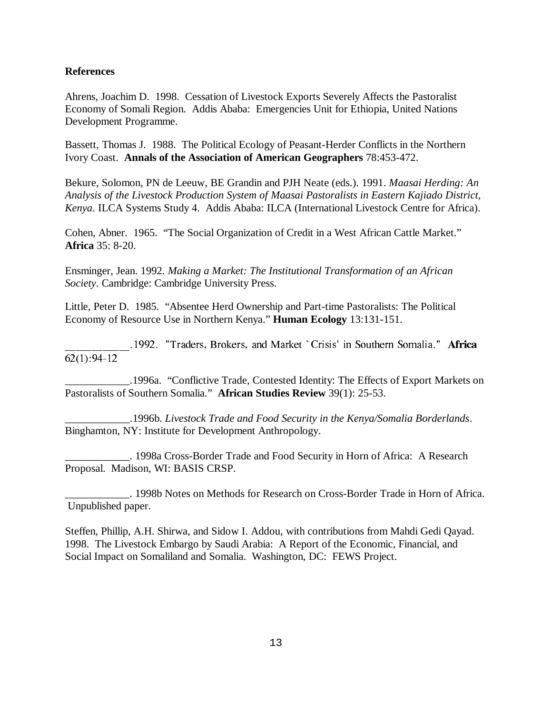## **References**

Ahrens, Joachim D. 1998. Cessation of Livestock Exports Severely Affects the Pastoralist Economy of Somali Region. Addis Ababa: Emergencies Unit for Ethiopia, United Nations Development Programme.

Bassett, Thomas J. 1988. The Political Ecology of Peasant-Herder Conflicts in the Northern Ivory Coast. **Annals of the Association of American Geographers** 78:453-472.

Bekure, Solomon, PN de Leeuw, BE Grandin and PJH Neate (eds.). 1991. *Maasai Herding: An Analysis of the Livestock Production System of Maasai Pastoralists in Eastern Kajiado District, Kenya*. ILCA Systems Study 4. Addis Ababa: ILCA (International Livestock Centre for Africa).

Cohen, Abner. 1965. "The Social Organization of Credit in a West African Cattle Market." **Africa** 35: 8-20.

Ensminger, Jean. 1992. *Making a Market: The Institutional Transformation of an African Society*. Cambridge: Cambridge University Press.

Little, Peter D. 1985. "Absentee Herd Ownership and Part-time Pastoralists: The Political Economy of Resource Use in Northern Kenya." **Human Ecology** 13:131-151.

1992. "Traders, Brokers, and Market `Crisis' in Southern Somalia." Africa  $62(1): 94-12$ 

AAAAAAAAAAAA--6TCFGTU-\$TQMGTU-CPF-/CTMGV-B%TKUKU -KP-5QWVJGTP-5QOCNKC-- $\begin{array}{c} \text{S} = \text{S} \times \text{S} \times \text{S} \times \text{S} \times \text{S} \times \text{S} \times \text{S} \times \text{S} \times \text{S} \times \text{S} \times \text{S} \times \text{S} \times \text{S} \times \text{S} \times \text{S} \times \text{S} \times \text{S} \times \text{S} \times \text{S} \times \text{S} \times \text{S} \times \text{S} \times \text{S} \times \text{S} \times \text{S} \times \text{S} \times \text{S} \times \text{S} \times \text{S} \times \text{S$ \_\_\_\_\_\_\_\_\_\_\_\_.1996a. "Conflictive Trade, Contested Identity: The Effects of Export Markets on Pastoralists of Southern Somalia." **African Studies Review** 39(1): 25-53.

\_\_\_\_\_\_\_\_\_\_\_\_.1996b. *Livestock Trade and Food Security in the Kenya/Somalia Borderlands*. Binghamton, NY: Institute for Development Anthropology.

\_\_\_\_\_\_\_\_\_\_\_\_. 1998a Cross-Border Trade and Food Security in Horn of Africa: A Research Proposal. Madison, WI: BASIS CRSP.

\_\_\_\_\_\_\_\_\_\_\_\_. 1998b Notes on Methods for Research on Cross-Border Trade in Horn of Africa. Unpublished paper.

Steffen, Phillip, A.H. Shirwa, and Sidow I. Addou, with contributions from Mahdi Gedi Qayad. 1998. The Livestock Embargo by Saudi Arabia: A Report of the Economic, Financial, and Social Impact on Somaliland and Somalia. Washington, DC: FEWS Project.